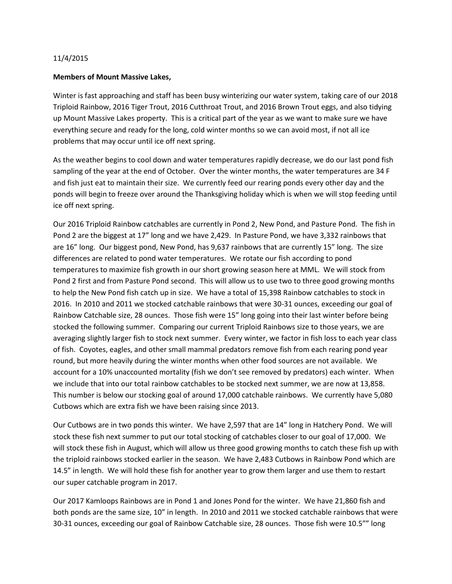## 11/4/2015

## **Members of Mount Massive Lakes,**

Winter is fast approaching and staff has been busy winterizing our water system, taking care of our 2018 Triploid Rainbow, 2016 Tiger Trout, 2016 Cutthroat Trout, and 2016 Brown Trout eggs, and also tidying up Mount Massive Lakes property. This is a critical part of the year as we want to make sure we have everything secure and ready for the long, cold winter months so we can avoid most, if not all ice problems that may occur until ice off next spring.

As the weather begins to cool down and water temperatures rapidly decrease, we do our last pond fish sampling of the year at the end of October. Over the winter months, the water temperatures are 34 F and fish just eat to maintain their size. We currently feed our rearing ponds every other day and the ponds will begin to freeze over around the Thanksgiving holiday which is when we will stop feeding until ice off next spring.

Our 2016 Triploid Rainbow catchables are currently in Pond 2, New Pond, and Pasture Pond. The fish in Pond 2 are the biggest at 17" long and we have 2,429. In Pasture Pond, we have 3,332 rainbows that are 16" long. Our biggest pond, New Pond, has 9,637 rainbows that are currently 15" long. The size differences are related to pond water temperatures. We rotate our fish according to pond temperatures to maximize fish growth in our short growing season here at MML. We will stock from Pond 2 first and from Pasture Pond second. This will allow us to use two to three good growing months to help the New Pond fish catch up in size. We have a total of 15,398 Rainbow catchables to stock in 2016. In 2010 and 2011 we stocked catchable rainbows that were 30-31 ounces, exceeding our goal of Rainbow Catchable size, 28 ounces. Those fish were 15" long going into their last winter before being stocked the following summer. Comparing our current Triploid Rainbows size to those years, we are averaging slightly larger fish to stock next summer. Every winter, we factor in fish loss to each year class of fish. Coyotes, eagles, and other small mammal predators remove fish from each rearing pond year round, but more heavily during the winter months when other food sources are not available. We account for a 10% unaccounted mortality (fish we don't see removed by predators) each winter. When we include that into our total rainbow catchables to be stocked next summer, we are now at 13,858. This number is below our stocking goal of around 17,000 catchable rainbows. We currently have 5,080 Cutbows which are extra fish we have been raising since 2013.

Our Cutbows are in two ponds this winter. We have 2,597 that are 14" long in Hatchery Pond. We will stock these fish next summer to put our total stocking of catchables closer to our goal of 17,000. We will stock these fish in August, which will allow us three good growing months to catch these fish up with the triploid rainbows stocked earlier in the season. We have 2,483 Cutbows in Rainbow Pond which are 14.5" in length. We will hold these fish for another year to grow them larger and use them to restart our super catchable program in 2017.

Our 2017 Kamloops Rainbows are in Pond 1 and Jones Pond for the winter. We have 21,860 fish and both ponds are the same size, 10" in length. In 2010 and 2011 we stocked catchable rainbows that were 30-31 ounces, exceeding our goal of Rainbow Catchable size, 28 ounces. Those fish were 10.5"" long